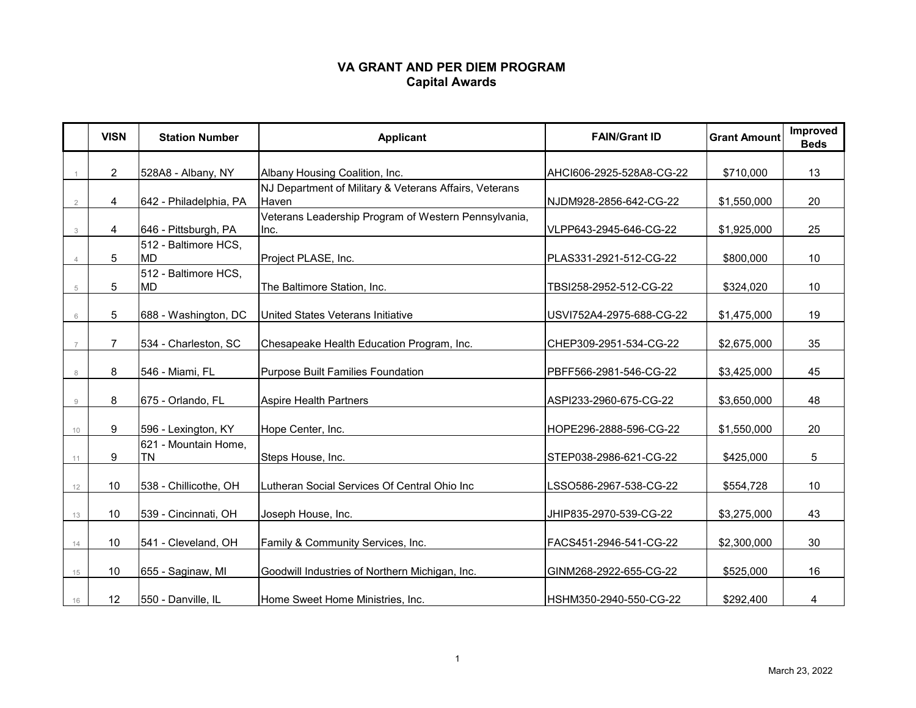## **VA GRANT AND PER DIEM PROGRAM Capital Awards**

|    | <b>VISN</b>    | <b>Station Number</b>             | <b>Applicant</b>                                                | <b>FAIN/Grant ID</b>     | <b>Grant Amount</b> | Improved<br><b>Beds</b> |
|----|----------------|-----------------------------------|-----------------------------------------------------------------|--------------------------|---------------------|-------------------------|
|    | $\overline{2}$ | 528A8 - Albany, NY                | Albany Housing Coalition, Inc.                                  | AHCI606-2925-528A8-CG-22 | \$710,000           | 13                      |
|    | 4              | 642 - Philadelphia, PA            | NJ Department of Military & Veterans Affairs, Veterans<br>Haven | NJDM928-2856-642-CG-22   | \$1,550,000         | 20                      |
| 3  | 4              | 646 - Pittsburgh, PA              | Veterans Leadership Program of Western Pennsylvania,<br>Inc.    | VLPP643-2945-646-CG-22   | \$1,925,000         | 25                      |
|    | 5              | 512 - Baltimore HCS,<br><b>MD</b> | Project PLASE, Inc.                                             | PLAS331-2921-512-CG-22   | \$800,000           | 10                      |
| 5  | 5              | 512 - Baltimore HCS,<br><b>MD</b> | The Baltimore Station, Inc.                                     | TBSI258-2952-512-CG-22   | \$324,020           | 10                      |
| 6  | 5              | 688 - Washington, DC              | United States Veterans Initiative                               | USVI752A4-2975-688-CG-22 | \$1,475,000         | 19                      |
|    | $\overline{7}$ | 534 - Charleston, SC              | Chesapeake Health Education Program, Inc.                       | CHEP309-2951-534-CG-22   | \$2,675,000         | 35                      |
|    | 8              | 546 - Miami, FL                   | <b>Purpose Built Families Foundation</b>                        | PBFF566-2981-546-CG-22   | \$3,425,000         | 45                      |
| 9  | 8              | 675 - Orlando, FL                 | <b>Aspire Health Partners</b>                                   | ASPI233-2960-675-CG-22   | \$3,650,000         | 48                      |
| 10 | 9              | 596 - Lexington, KY               | Hope Center, Inc.                                               | HOPE296-2888-596-CG-22   | \$1,550,000         | 20                      |
| 11 | 9              | 621 - Mountain Home,<br><b>TN</b> | Steps House, Inc.                                               | STEP038-2986-621-CG-22   | \$425,000           | 5                       |
| 12 | 10             | 538 - Chillicothe, OH             | Lutheran Social Services Of Central Ohio Inc                    | LSSO586-2967-538-CG-22   | \$554,728           | 10                      |
| 13 | 10             | 539 - Cincinnati, OH              | Joseph House, Inc.                                              | JHIP835-2970-539-CG-22   | \$3,275,000         | 43                      |
| 14 | 10             | 541 - Cleveland, OH               | Family & Community Services, Inc.                               | FACS451-2946-541-CG-22   | \$2,300,000         | 30                      |
| 15 | 10             | 655 - Saginaw, MI                 | Goodwill Industries of Northern Michigan, Inc.                  | GINM268-2922-655-CG-22   | \$525,000           | 16                      |
| 16 | 12             | 550 - Danville, IL                | Home Sweet Home Ministries, Inc.                                | HSHM350-2940-550-CG-22   | \$292,400           | 4                       |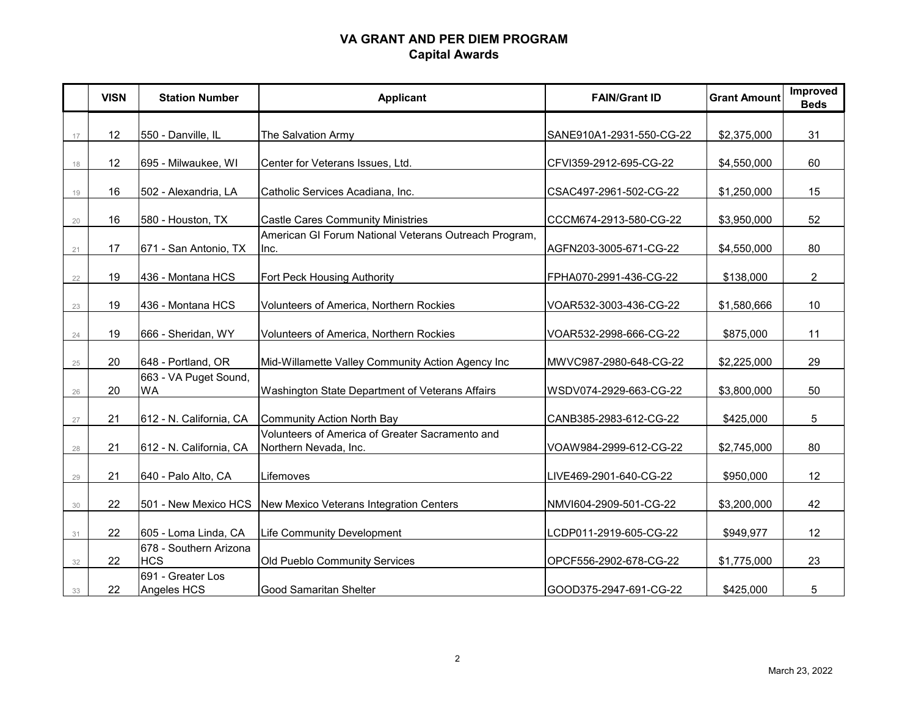## **VA GRANT AND PER DIEM PROGRAM Capital Awards**

|    | <b>VISN</b> | <b>Station Number</b>                | <b>Applicant</b>                                                         | <b>FAIN/Grant ID</b>     | <b>Grant Amount</b> | Improved<br><b>Beds</b> |
|----|-------------|--------------------------------------|--------------------------------------------------------------------------|--------------------------|---------------------|-------------------------|
|    |             |                                      |                                                                          |                          |                     |                         |
| 17 | 12          | 550 - Danville, IL                   | The Salvation Army                                                       | SANE910A1-2931-550-CG-22 | \$2,375,000         | 31                      |
| 18 | 12          | 695 - Milwaukee, WI                  | Center for Veterans Issues, Ltd.                                         | CFVI359-2912-695-CG-22   | \$4,550,000         | 60                      |
| 19 | 16          | 502 - Alexandria, LA                 | Catholic Services Acadiana, Inc.                                         | CSAC497-2961-502-CG-22   | \$1,250,000         | 15                      |
| 20 | 16          | 580 - Houston, TX                    | <b>Castle Cares Community Ministries</b>                                 | CCCM674-2913-580-CG-22   | \$3,950,000         | 52                      |
| 21 | 17          | 671 - San Antonio, TX                | American GI Forum National Veterans Outreach Program,<br>Inc.            | AGFN203-3005-671-CG-22   | \$4,550,000         | 80                      |
| 22 | 19          | 436 - Montana HCS                    | Fort Peck Housing Authority                                              | FPHA070-2991-436-CG-22   | \$138,000           | $\overline{2}$          |
| 23 | 19          | 436 - Montana HCS                    | Volunteers of America, Northern Rockies                                  | VOAR532-3003-436-CG-22   | \$1,580,666         | 10                      |
| 24 | 19          | 666 - Sheridan, WY                   | Volunteers of America, Northern Rockies                                  | VOAR532-2998-666-CG-22   | \$875,000           | 11                      |
| 25 | 20          | 648 - Portland, OR                   | Mid-Willamette Valley Community Action Agency Inc                        | MWVC987-2980-648-CG-22   | \$2,225,000         | 29                      |
| 26 | 20          | 663 - VA Puget Sound,<br>WA          | Washington State Department of Veterans Affairs                          | WSDV074-2929-663-CG-22   | \$3,800,000         | 50                      |
| 27 | 21          | 612 - N. California, CA              | <b>Community Action North Bay</b>                                        | CANB385-2983-612-CG-22   | \$425,000           | 5                       |
| 28 | 21          | 612 - N. California, CA              | Volunteers of America of Greater Sacramento and<br>Northern Nevada, Inc. | VOAW984-2999-612-CG-22   | \$2,745,000         | 80                      |
| 29 | 21          | 640 - Palo Alto, CA                  | Lifemoves                                                                | LIVE469-2901-640-CG-22   | \$950,000           | 12                      |
| 30 | 22          | 501 - New Mexico HCS                 | New Mexico Veterans Integration Centers                                  | NMVI604-2909-501-CG-22   | \$3,200,000         | 42                      |
| 31 | 22          | 605 - Loma Linda, CA                 | Life Community Development                                               | LCDP011-2919-605-CG-22   | \$949,977           | 12                      |
| 32 | 22          | 678 - Southern Arizona<br><b>HCS</b> | Old Pueblo Community Services                                            | OPCF556-2902-678-CG-22   | \$1,775,000         | 23                      |
| 33 | 22          | 691 - Greater Los<br>Angeles HCS     | <b>Good Samaritan Shelter</b>                                            | GOOD375-2947-691-CG-22   | \$425,000           | 5                       |